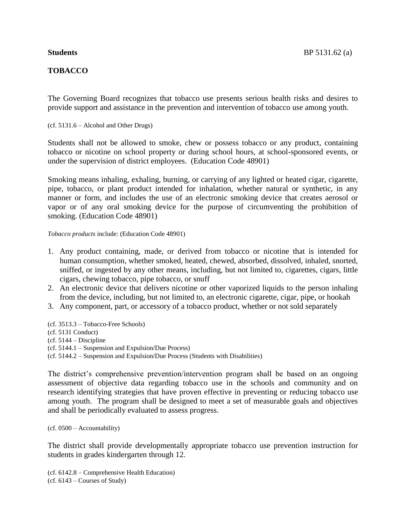## **TOBACCO**

The Governing Board recognizes that tobacco use presents serious health risks and desires to provide support and assistance in the prevention and intervention of tobacco use among youth.

(cf. 5131.6 – Alcohol and Other Drugs)

Students shall not be allowed to smoke, chew or possess tobacco or any product, containing tobacco or nicotine on school property or during school hours, at school-sponsored events, or under the supervision of district employees. (Education Code 48901)

Smoking means inhaling, exhaling, burning, or carrying of any lighted or heated cigar, cigarette, pipe, tobacco, or plant product intended for inhalation, whether natural or synthetic, in any manner or form, and includes the use of an electronic smoking device that creates aerosol or vapor or of any oral smoking device for the purpose of circumventing the prohibition of smoking. (Education Code 48901)

*Tobacco products* include: (Education Code 48901)

- 1. Any product containing, made, or derived from tobacco or nicotine that is intended for human consumption, whether smoked, heated, chewed, absorbed, dissolved, inhaled, snorted, sniffed, or ingested by any other means, including, but not limited to, cigarettes, cigars, little cigars, chewing tobacco, pipe tobacco, or snuff
- 2. An electronic device that delivers nicotine or other vaporized liquids to the person inhaling from the device, including, but not limited to, an electronic cigarette, cigar, pipe, or hookah
- 3. Any component, part, or accessory of a tobacco product, whether or not sold separately
- (cf. 3513.3 Tobacco-Free Schools)
- (cf. 5131 Conduct)
- $(cf. 5144 Discipline)$
- (cf. 5144.1 Suspension and Expulsion/Due Process)

(cf. 5144.2 – Suspension and Expulsion/Due Process (Students with Disabilities)

The district's comprehensive prevention/intervention program shall be based on an ongoing assessment of objective data regarding tobacco use in the schools and community and on research identifying strategies that have proven effective in preventing or reducing tobacco use among youth. The program shall be designed to meet a set of measurable goals and objectives and shall be periodically evaluated to assess progress.

(cf. 0500 – Accountability)

The district shall provide developmentally appropriate tobacco use prevention instruction for students in grades kindergarten through 12.

(cf. 6142.8 – Comprehensive Health Education) (cf. 6143 – Courses of Study)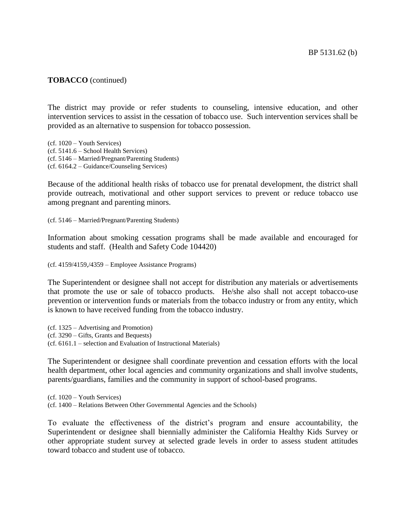#### **TOBACCO** (continued)

The district may provide or refer students to counseling, intensive education, and other intervention services to assist in the cessation of tobacco use. Such intervention services shall be provided as an alternative to suspension for tobacco possession.

(cf. 1020 – Youth Services) (cf. 5141.6 – School Health Services) (cf. 5146 – Married/Pregnant/Parenting Students) (cf. 6164.2 – Guidance/Counseling Services)

Because of the additional health risks of tobacco use for prenatal development, the district shall provide outreach, motivational and other support services to prevent or reduce tobacco use among pregnant and parenting minors.

(cf. 5146 – Married/Pregnant/Parenting Students)

Information about smoking cessation programs shall be made available and encouraged for students and staff. (Health and Safety Code 104420)

(cf. 4159/4159,/4359 – Employee Assistance Programs)

The Superintendent or designee shall not accept for distribution any materials or advertisements that promote the use or sale of tobacco products. He/she also shall not accept tobacco-use prevention or intervention funds or materials from the tobacco industry or from any entity, which is known to have received funding from the tobacco industry.

(cf. 1325 – Advertising and Promotion) (cf. 3290 – Gifts, Grants and Bequests) (cf. 6161.1 – selection and Evaluation of Instructional Materials)

The Superintendent or designee shall coordinate prevention and cessation efforts with the local health department, other local agencies and community organizations and shall involve students, parents/guardians, families and the community in support of school-based programs.

(cf. 1020 – Youth Services) (cf. 1400 – Relations Between Other Governmental Agencies and the Schools)

To evaluate the effectiveness of the district's program and ensure accountability, the Superintendent or designee shall biennially administer the California Healthy Kids Survey or other appropriate student survey at selected grade levels in order to assess student attitudes toward tobacco and student use of tobacco.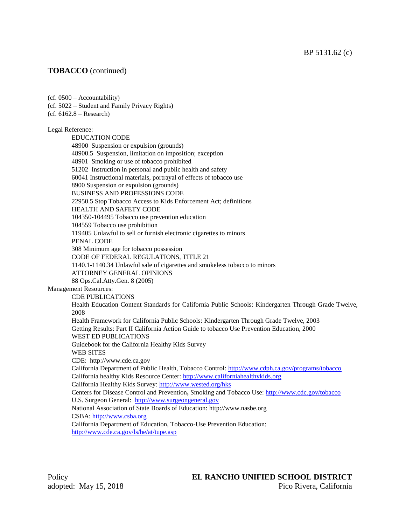### **TOBACCO** (continued)

(cf. 0500 – Accountability) (cf. 5022 – Student and Family Privacy Rights) (cf. 6162.8 – Research) Legal Reference: EDUCATION CODE 48900 Suspension or expulsion (grounds) 48900.5 Suspension, limitation on imposition; exception 48901 Smoking or use of tobacco prohibited 51202 Instruction in personal and public health and safety 60041 Instructional materials, portrayal of effects of tobacco use 8900 Suspension or expulsion (grounds) BUSINESS AND PROFESSIONS CODE 22950.5 Stop Tobacco Access to Kids Enforcement Act; definitions HEALTH AND SAFETY CODE 104350-104495 Tobacco use prevention education 104559 Tobacco use prohibition 119405 Unlawful to sell or furnish electronic cigarettes to minors PENAL CODE 308 Minimum age for tobacco possession CODE OF FEDERAL REGULATIONS, TITLE 21 1140.1-1140.34 Unlawful sale of cigarettes and smokeless tobacco to minors ATTORNEY GENERAL OPINIONS 88 Ops.Cal.Atty.Gen. 8 (2005) Management Resources: CDE PUBLICATIONS Health Education Content Standards for California Public Schools: Kindergarten Through Grade Twelve, 2008 Health Framework for California Public Schools: Kindergarten Through Grade Twelve, 2003 Getting Results: Part II California Action Guide to tobacco Use Prevention Education, 2000 WEST ED PUBLICATIONS Guidebook for the California Healthy Kids Survey WEB SITES CDE: [http://www.cde.ca.gov](http://www.cde.ca.gov/) California Department of Public Health, Tobacco Control:<http://www.cdph.ca.gov/programs/tobacco> California healthy Kids Resource Center: [http://www.californiahealthykids.org](http://www.californiahealthykids.org/) California Healthy Kids Survey:<http://www.wested.org/hks> Centers for Disease Control and Prevention**,** Smoking and Tobacco Use[: http://www.cdc.gov/tobacco](http://www.cdc.gov/tobacco) U.S. Surgeon General: [http://www.surgeongeneral.gov](http://www.surgeongeneral.gov/) National Association of State Boards of Education: [http://www.nasbe.org](http://www.nasbe.org/) CSBA: [http://www.csba.org](http://www.csba.org/) California Department of Education, Tobacco-Use Prevention Education: <http://www.cde.ca.gov/ls/he/at/tupe.asp>